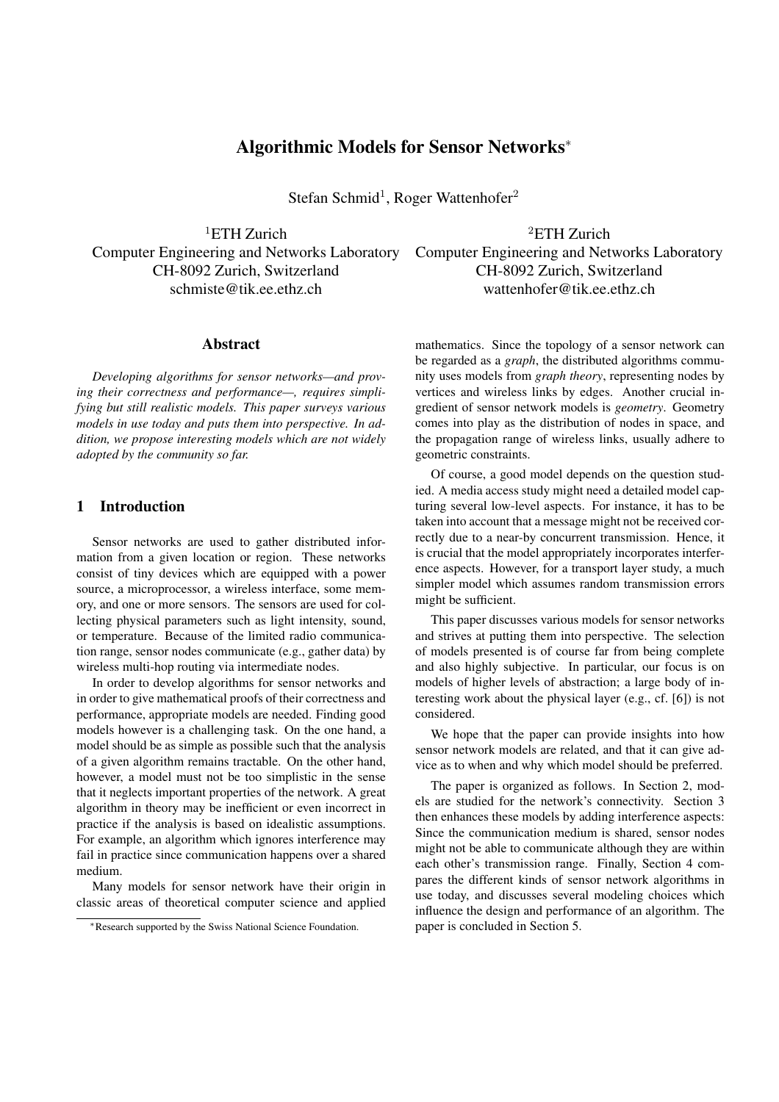# Algorithmic Models for Sensor Networks<sup>∗</sup>

Stefan Schmid<sup>1</sup>, Roger Wattenhofer<sup>2</sup>

Computer Engineering and Networks Laboratory Computer Engineering and Networks Laboratory

 ${}^{1}$ ETH Zurich  ${}^{2}$ ETH Zurich CH-8092 Zurich, Switzerland CH-8092 Zurich, Switzerland schmiste@tik.ee.ethz.ch wattenhofer@tik.ee.ethz.ch

### Abstract

*Developing algorithms for sensor networks—and proving their correctness and performance—, requires simplifying but still realistic models. This paper surveys various models in use today and puts them into perspective. In addition, we propose interesting models which are not widely adopted by the community so far.*

## 1 Introduction

Sensor networks are used to gather distributed information from a given location or region. These networks consist of tiny devices which are equipped with a power source, a microprocessor, a wireless interface, some memory, and one or more sensors. The sensors are used for collecting physical parameters such as light intensity, sound, or temperature. Because of the limited radio communication range, sensor nodes communicate (e.g., gather data) by wireless multi-hop routing via intermediate nodes.

In order to develop algorithms for sensor networks and in order to give mathematical proofs of their correctness and performance, appropriate models are needed. Finding good models however is a challenging task. On the one hand, a model should be as simple as possible such that the analysis of a given algorithm remains tractable. On the other hand, however, a model must not be too simplistic in the sense that it neglects important properties of the network. A great algorithm in theory may be inefficient or even incorrect in practice if the analysis is based on idealistic assumptions. For example, an algorithm which ignores interference may fail in practice since communication happens over a shared medium.

Many models for sensor network have their origin in classic areas of theoretical computer science and applied mathematics. Since the topology of a sensor network can be regarded as a *graph*, the distributed algorithms community uses models from *graph theory*, representing nodes by vertices and wireless links by edges. Another crucial ingredient of sensor network models is *geometry*. Geometry comes into play as the distribution of nodes in space, and the propagation range of wireless links, usually adhere to geometric constraints.

Of course, a good model depends on the question studied. A media access study might need a detailed model capturing several low-level aspects. For instance, it has to be taken into account that a message might not be received correctly due to a near-by concurrent transmission. Hence, it is crucial that the model appropriately incorporates interference aspects. However, for a transport layer study, a much simpler model which assumes random transmission errors might be sufficient.

This paper discusses various models for sensor networks and strives at putting them into perspective. The selection of models presented is of course far from being complete and also highly subjective. In particular, our focus is on models of higher levels of abstraction; a large body of interesting work about the physical layer (e.g., cf. [6]) is not considered.

We hope that the paper can provide insights into how sensor network models are related, and that it can give advice as to when and why which model should be preferred.

The paper is organized as follows. In Section 2, models are studied for the network's connectivity. Section 3 then enhances these models by adding interference aspects: Since the communication medium is shared, sensor nodes might not be able to communicate although they are within each other's transmission range. Finally, Section 4 compares the different kinds of sensor network algorithms in use today, and discusses several modeling choices which influence the design and performance of an algorithm. The paper is concluded in Section 5.

<sup>∗</sup>Research supported by the Swiss National Science Foundation.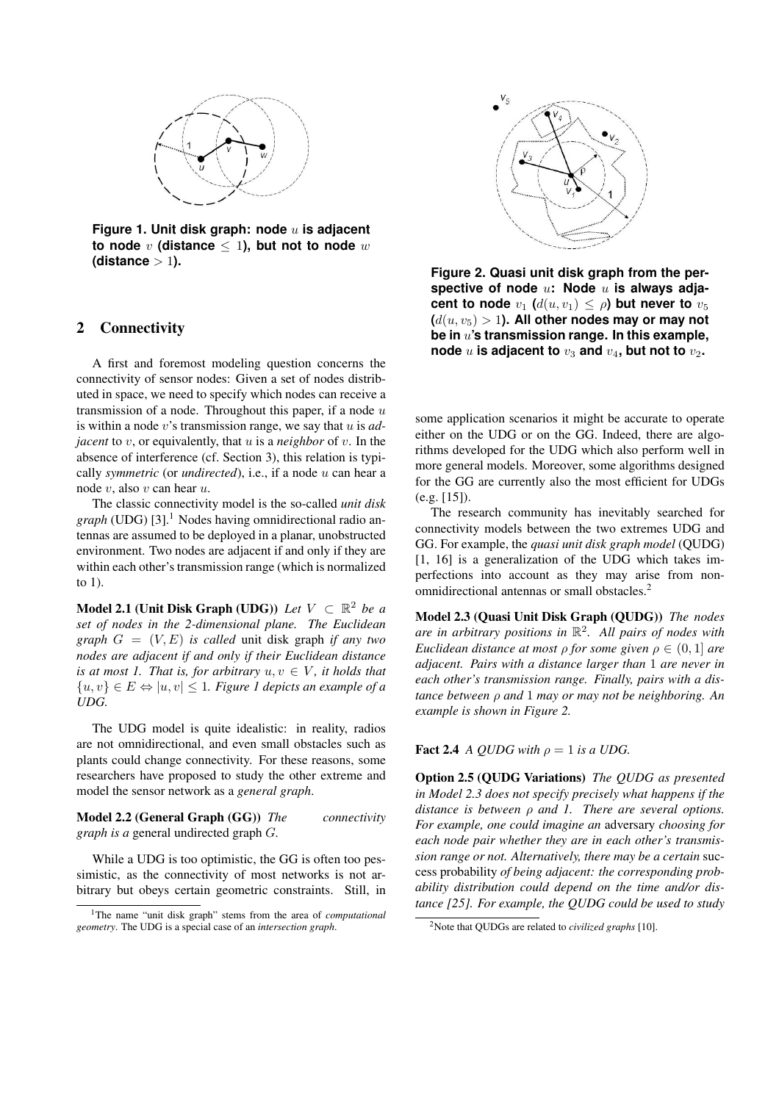

**Figure 1. Unit disk graph: node** u **is adjacent to node** v **(distance**  $\leq$  1**), but not to node** w **(distance** > 1**).**

# 2 Connectivity

A first and foremost modeling question concerns the connectivity of sensor nodes: Given a set of nodes distributed in space, we need to specify which nodes can receive a transmission of a node. Throughout this paper, if a node  $u$ is within a node v's transmission range, we say that u is *adjacent* to v, or equivalently, that u is a *neighbor* of v. In the absence of interference (cf. Section 3), this relation is typically *symmetric* (or *undirected*), i.e., if a node u can hear a node v, also v can hear u.

The classic connectivity model is the so-called *unit disk graph* (UDG) [3].<sup>1</sup> Nodes having omnidirectional radio antennas are assumed to be deployed in a planar, unobstructed environment. Two nodes are adjacent if and only if they are within each other's transmission range (which is normalized to 1).

**Model 2.1 (Unit Disk Graph (UDG))** *Let*  $V \subset \mathbb{R}^2$  *be a set of nodes in the 2-dimensional plane. The Euclidean graph* G = (V, E) *is called* unit disk graph *if any two nodes are adjacent if and only if their Euclidean distance is at most 1. That is, for arbitrary*  $u, v \in V$ *, it holds that*  $\{u, v\} \in E \Leftrightarrow |u, v| \leq 1$ . Figure 1 depicts an example of a *UDG.*

The UDG model is quite idealistic: in reality, radios are not omnidirectional, and even small obstacles such as plants could change connectivity. For these reasons, some researchers have proposed to study the other extreme and model the sensor network as a *general graph*.

Model 2.2 (General Graph (GG)) *The connectivity graph is a* general undirected graph G*.*

While a UDG is too optimistic, the GG is often too pessimistic, as the connectivity of most networks is not arbitrary but obeys certain geometric constraints. Still, in



**Figure 2. Quasi unit disk graph from the perspective of node** u**: Node** u **is always adjacent to node**  $v_1$  ( $d(u, v_1) \le \rho$ ) but never to  $v_5$  $(d(u, v_5) > 1)$ . All other nodes may or may not **be in** u**'s transmission range. In this example,** node  $u$  is adjacent to  $v_3$  and  $v_4$ , but not to  $v_2$ .

some application scenarios it might be accurate to operate either on the UDG or on the GG. Indeed, there are algorithms developed for the UDG which also perform well in more general models. Moreover, some algorithms designed for the GG are currently also the most efficient for UDGs (e.g. [15]).

The research community has inevitably searched for connectivity models between the two extremes UDG and GG. For example, the *quasi unit disk graph model* (QUDG) [1, 16] is a generalization of the UDG which takes imperfections into account as they may arise from nonomnidirectional antennas or small obstacles.<sup>2</sup>

Model 2.3 (Quasi Unit Disk Graph (QUDG)) *The nodes are in arbitrary positions in* R 2 *. All pairs of nodes with Euclidean distance at most*  $\rho$  *for some given*  $\rho \in (0,1]$  *are adjacent. Pairs with a distance larger than* 1 *are never in each other's transmission range. Finally, pairs with a distance between* ρ *and* 1 *may or may not be neighboring. An example is shown in Figure 2.*

Fact 2.4 *A QUDG with*  $\rho = 1$  *is a UDG.* 

Option 2.5 (QUDG Variations) *The QUDG as presented in Model 2.3 does not specify precisely what happens if the distance is between* ρ *and 1. There are several options. For example, one could imagine an* adversary *choosing for each node pair whether they are in each other's transmission range or not. Alternatively, there may be a certain* success probability *of being adjacent: the corresponding probability distribution could depend on the time and/or distance [25]. For example, the QUDG could be used to study*

<sup>1</sup>The name "unit disk graph" stems from the area of *computational geometry*. The UDG is a special case of an *intersection graph*.

<sup>2</sup>Note that QUDGs are related to *civilized graphs* [10].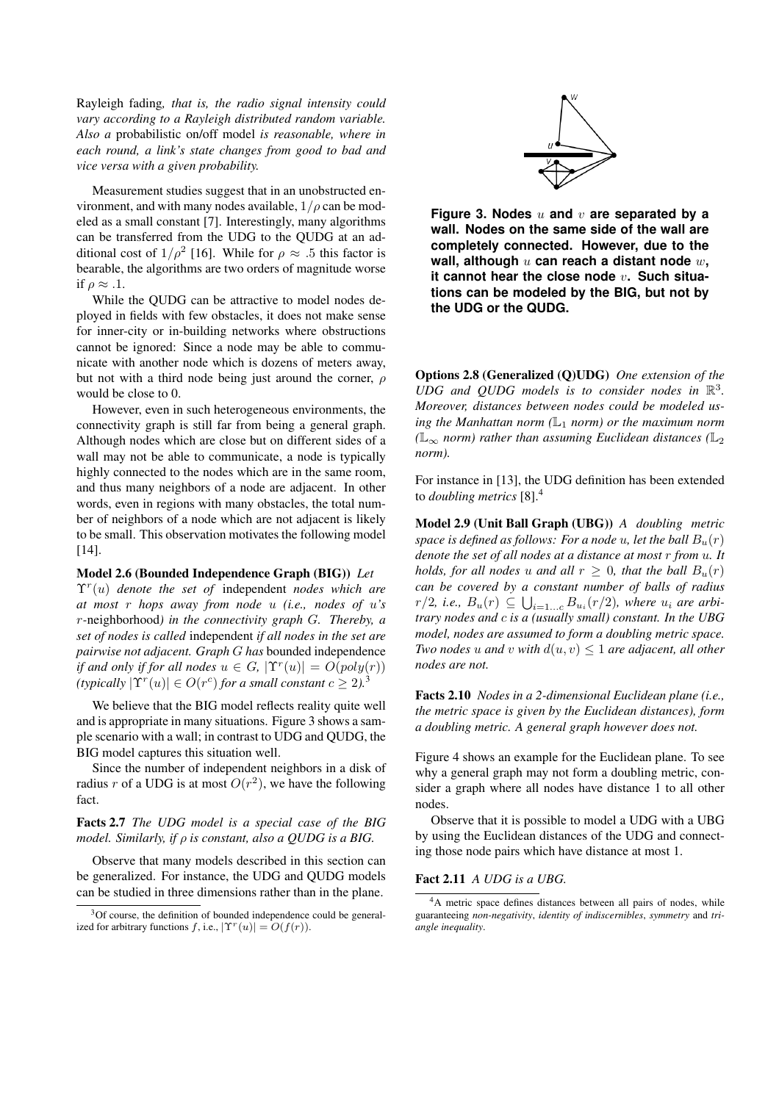Rayleigh fading*, that is, the radio signal intensity could vary according to a Rayleigh distributed random variable. Also a* probabilistic on/off model *is reasonable, where in each round, a link's state changes from good to bad and vice versa with a given probability.*

Measurement studies suggest that in an unobstructed environment, and with many nodes available,  $1/\rho$  can be modeled as a small constant [7]. Interestingly, many algorithms can be transferred from the UDG to the QUDG at an additional cost of  $1/\rho^2$  [16]. While for  $\rho \approx .5$  this factor is bearable, the algorithms are two orders of magnitude worse if  $\rho \approx .1$ .

While the QUDG can be attractive to model nodes deployed in fields with few obstacles, it does not make sense for inner-city or in-building networks where obstructions cannot be ignored: Since a node may be able to communicate with another node which is dozens of meters away, but not with a third node being just around the corner,  $\rho$ would be close to 0.

However, even in such heterogeneous environments, the connectivity graph is still far from being a general graph. Although nodes which are close but on different sides of a wall may not be able to communicate, a node is typically highly connected to the nodes which are in the same room, and thus many neighbors of a node are adjacent. In other words, even in regions with many obstacles, the total number of neighbors of a node which are not adjacent is likely to be small. This observation motivates the following model [14].

### Model 2.6 (Bounded Independence Graph (BIG)) *Let*

Υ<sup>r</sup> (u) *denote the set of* independent *nodes which are at most* r *hops away from node* u *(i.e., nodes of* u*'s* r*-*neighborhood*) in the connectivity graph* G*. Thereby, a set of nodes is called* independent *if all nodes in the set are pairwise not adjacent. Graph* G *has* bounded independence *if and only if for all nodes*  $u \in G$ ,  $|\Upsilon^{r}(u)| = O(poly(r))$ (*typically*  $|\Upsilon^{r}(u)| \in O(r^{c})$  *for a small constant*  $c \geq 2$ ).<sup>3</sup>

We believe that the BIG model reflects reality quite well and is appropriate in many situations. Figure 3 shows a sample scenario with a wall; in contrast to UDG and QUDG, the BIG model captures this situation well.

Since the number of independent neighbors in a disk of radius r of a UDG is at most  $O(r^2)$ , we have the following fact.

# Facts 2.7 *The UDG model is a special case of the BIG model. Similarly, if* ρ *is constant, also a QUDG is a BIG.*

Observe that many models described in this section can be generalized. For instance, the UDG and QUDG models can be studied in three dimensions rather than in the plane.



**Figure 3. Nodes** u **and** v **are separated by a wall. Nodes on the same side of the wall are completely connected. However, due to the wall, although** u **can reach a distant node** w**, it cannot hear the close node** v**. Such situations can be modeled by the BIG, but not by the UDG or the QUDG.**

Options 2.8 (Generalized (Q)UDG) *One extension of the* UDG and QUDG models is to consider nodes in  $\mathbb{R}^3$ . *Moreover, distances between nodes could be modeled us*ing the Manhattan norm  $(\mathbb{L}_1$  *norm*) or the maximum norm  $(\mathbb{L}_{\infty}$  *norm*) rather than assuming Euclidean distances ( $\mathbb{L}_{2}$ ) *norm).*

For instance in [13], the UDG definition has been extended to *doubling metrics* [8].<sup>4</sup>

Model 2.9 (Unit Ball Graph (UBG)) *A doubling metric space is defined as follows: For a node u, let the ball*  $B_u(r)$ *denote the set of all nodes at a distance at most* r *from* u*. It holds, for all nodes* u *and all*  $r \geq 0$ *, that the ball*  $B_u(r)$ *can be covered by a constant number of balls of radius* S  $r/2$ , *i.e.*,  $B_u(r) \subseteq \bigcup_{i=1...c} B_{u_i}(r/2)$ , where  $u_i$  are arbi*trary nodes and* c *is a (usually small) constant. In the UBG model, nodes are assumed to form a doubling metric space. Two nodes* u and v with  $d(u, v) \leq 1$  are adjacent, all other *nodes are not.*

Facts 2.10 *Nodes in a 2-dimensional Euclidean plane (i.e., the metric space is given by the Euclidean distances), form a doubling metric. A general graph however does not.*

Figure 4 shows an example for the Euclidean plane. To see why a general graph may not form a doubling metric, consider a graph where all nodes have distance 1 to all other nodes.

Observe that it is possible to model a UDG with a UBG by using the Euclidean distances of the UDG and connecting those node pairs which have distance at most 1.

### Fact 2.11 *A UDG is a UBG.*

<sup>&</sup>lt;sup>3</sup>Of course, the definition of bounded independence could be generalized for arbitrary functions f, i.e.,  $|\Upsilon^{r}(u)| = O(f(r)).$ 

<sup>&</sup>lt;sup>4</sup>A metric space defines distances between all pairs of nodes, while guaranteeing *non-negativity*, *identity of indiscernibles*, *symmetry* and *triangle inequality*.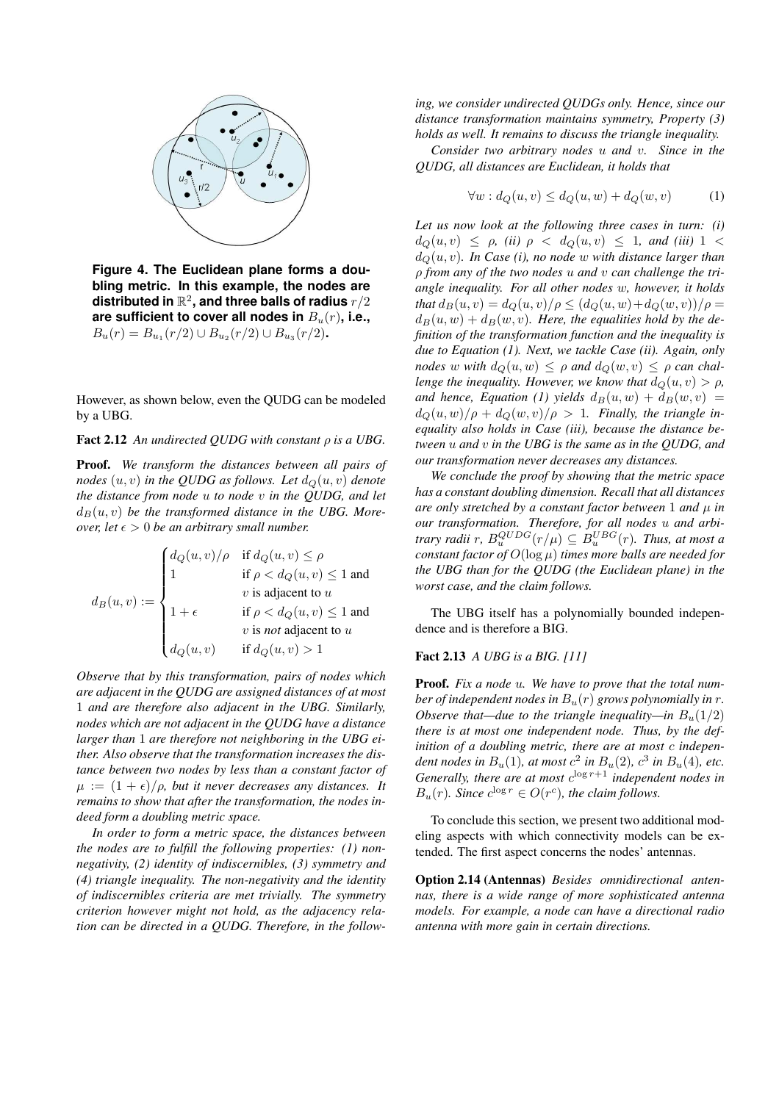

**Figure 4. The Euclidean plane forms a doubling metric. In this example, the nodes are** distributed in  $\mathbb{R}^2$ , and three balls of radius  $r/2$ **are sufficient to cover all nodes in** Bu(r)**, i.e.,**  $B_u(r) = B_{u_1}(r/2) \cup B_{u_2}(r/2) \cup B_{u_3}(r/2)$ .

However, as shown below, even the QUDG can be modeled by a UBG.

Fact 2.12 *An undirected QUDG with constant* ρ *is a UBG.*

Proof. *We transform the distances between all pairs of nodes*  $(u, v)$  *in the QUDG as follows. Let*  $d<sub>O</sub>(u, v)$  *denote the distance from node* u *to node* v *in the QUDG, and let*  $d_B(u, v)$  be the transformed distance in the UBG. More*over, let*  $\epsilon > 0$  *be an arbitrary small number.* 

$$
d_B(u,v) := \begin{cases} d_Q(u,v)/\rho & \text{if } d_Q(u,v) \leq \rho \\ 1 & \text{if } \rho < d_Q(u,v) \leq 1 \text{ and} \\ & v \text{ is adjacent to } u \\ 1 + \epsilon & \text{if } \rho < d_Q(u,v) \leq 1 \text{ and} \\ & v \text{ is } not \text{ adjacent to } u \\ d_Q(u,v) & \text{if } d_Q(u,v) > 1 \end{cases}
$$

*Observe that by this transformation, pairs of nodes which are adjacent in the QUDG are assigned distances of at most* 1 *and are therefore also adjacent in the UBG. Similarly, nodes which are not adjacent in the QUDG have a distance larger than* 1 *are therefore not neighboring in the UBG either. Also observe that the transformation increases the distance between two nodes by less than a constant factor of*  $\mu := (1 + \epsilon)/\rho$ , but it never decreases any distances. It *remains to show that after the transformation, the nodes indeed form a doubling metric space.*

*In order to form a metric space, the distances between the nodes are to fulfill the following properties: (1) nonnegativity, (2) identity of indiscernibles, (3) symmetry and (4) triangle inequality. The non-negativity and the identity of indiscernibles criteria are met trivially. The symmetry criterion however might not hold, as the adjacency relation can be directed in a QUDG. Therefore, in the follow-* *ing, we consider undirected QUDGs only. Hence, since our distance transformation maintains symmetry, Property (3) holds as well. It remains to discuss the triangle inequality.*

*Consider two arbitrary nodes* u *and* v*. Since in the QUDG, all distances are Euclidean, it holds that*

$$
\forall w : d_Q(u, v) \le d_Q(u, w) + d_Q(w, v) \tag{1}
$$

*Let us now look at the following three cases in turn: (i)*  $d_Q(u, v) \leq \rho$ , (ii)  $\rho \leq d_Q(u, v) \leq 1$ , and (iii)  $1 \leq$  $d_Q(u, v)$ *. In Case (i), no node w with distance larger than* ρ *from any of the two nodes* u *and* v *can challenge the triangle inequality. For all other nodes* w*, however, it holds that*  $d_B(u, v) = d_Q(u, v) / \rho \leq (d_Q(u, w) + d_Q(w, v)) / \rho =$  $d_B(u, w) + d_B(w, v)$ . Here, the equalities hold by the de*finition of the transformation function and the inequality is due to Equation (1). Next, we tackle Case (ii). Again, only nodes* w with  $d_Q(u, w) \leq \rho$  and  $d_Q(w, v) \leq \rho$  can chal*lenge the inequality. However, we know that*  $d_Q(u, v) > \rho$ *,* and hence, Equation (1) yields  $d_B(u, w) + d_B(w, v) =$  $d_O(u, w)/\rho + d_O(w, v)/\rho > 1$ . Finally, the triangle in*equality also holds in Case (iii), because the distance between* u *and* v *in the UBG is the same as in the QUDG, and our transformation never decreases any distances.*

*We conclude the proof by showing that the metric space has a constant doubling dimension. Recall that all distances are only stretched by a constant factor between* 1 *and* µ *in our transformation. Therefore, for all nodes* u *and arbi*trary radii  $r$ ,  $B_u^{QUDG}(r/\mu) \subseteq B_u^{UBG}(r)$ . Thus, at most a *constant factor of* O(log µ) *times more balls are needed for the UBG than for the QUDG (the Euclidean plane) in the worst case, and the claim follows.*

The UBG itself has a polynomially bounded independence and is therefore a BIG.

### Fact 2.13 *A UBG is a BIG. [11]*

Proof. *Fix a node* u*. We have to prove that the total number of independent nodes in*  $B_u(r)$  *grows polynomially in*  $r$ . *Observe that—due to the triangle inequality—in*  $B_u(1/2)$ *there is at most one independent node. Thus, by the definition of a doubling metric, there are at most* c *independent nodes in*  $B_u(1)$ *, at most*  $c^2$  *in*  $B_u(2)$ *,*  $c^3$  *in*  $B_u(4)$ *, etc.* Generally, there are at most  $c^{\log r+1}$  *independent nodes in*  $B_u(r)$ *. Since*  $c^{\log r} \in O(r^c)$ *, the claim follows.* 

To conclude this section, we present two additional modeling aspects with which connectivity models can be extended. The first aspect concerns the nodes' antennas.

Option 2.14 (Antennas) *Besides omnidirectional antennas, there is a wide range of more sophisticated antenna models. For example, a node can have a directional radio antenna with more gain in certain directions.*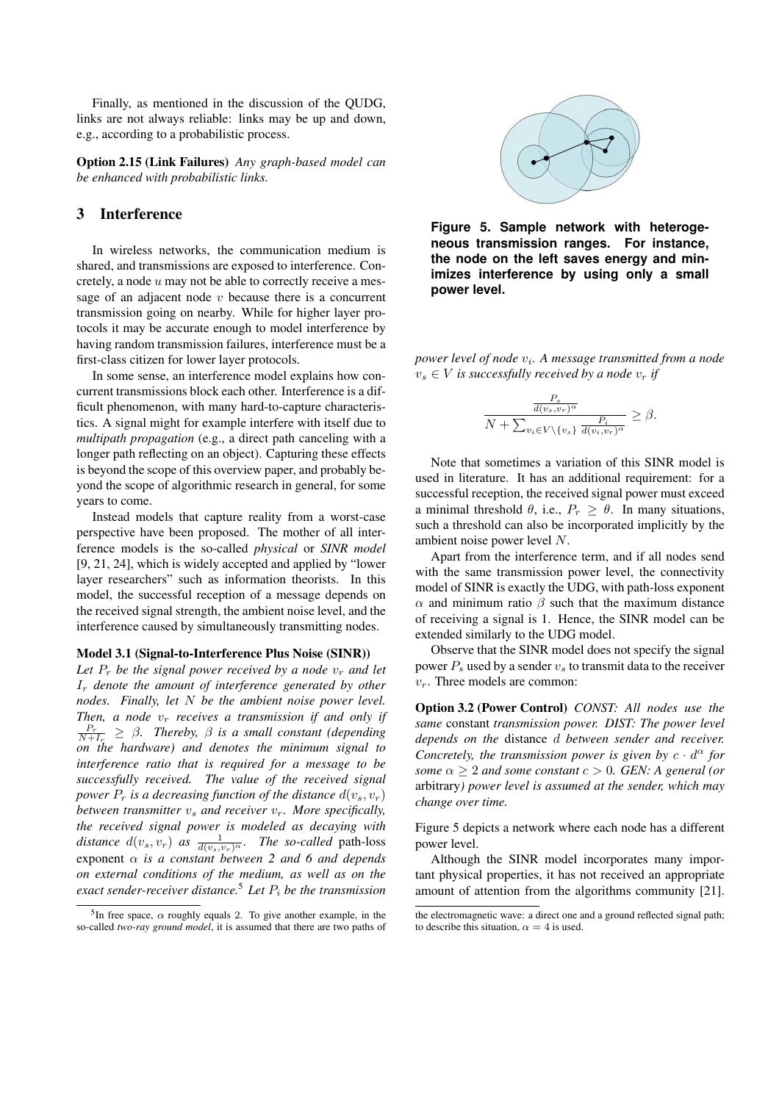Finally, as mentioned in the discussion of the QUDG, links are not always reliable: links may be up and down, e.g., according to a probabilistic process.

Option 2.15 (Link Failures) *Any graph-based model can be enhanced with probabilistic links.*

### 3 Interference

In wireless networks, the communication medium is shared, and transmissions are exposed to interference. Concretely, a node u may not be able to correctly receive a message of an adjacent node  $v$  because there is a concurrent transmission going on nearby. While for higher layer protocols it may be accurate enough to model interference by having random transmission failures, interference must be a first-class citizen for lower layer protocols.

In some sense, an interference model explains how concurrent transmissions block each other. Interference is a difficult phenomenon, with many hard-to-capture characteristics. A signal might for example interfere with itself due to *multipath propagation* (e.g., a direct path canceling with a longer path reflecting on an object). Capturing these effects is beyond the scope of this overview paper, and probably beyond the scope of algorithmic research in general, for some years to come.

Instead models that capture reality from a worst-case perspective have been proposed. The mother of all interference models is the so-called *physical* or *SINR model* [9, 21, 24], which is widely accepted and applied by "lower layer researchers" such as information theorists. In this model, the successful reception of a message depends on the received signal strength, the ambient noise level, and the interference caused by simultaneously transmitting nodes.

#### Model 3.1 (Signal-to-Interference Plus Noise (SINR))

Let  $P_r$  be the signal power received by a node  $v_r$  and let I<sup>r</sup> *denote the amount of interference generated by other nodes. Finally, let* N *be the ambient noise power level. Then, a node*  $v_r$  *receives a transmission if and only if*  $\frac{P_r}{N+I_r} \geq \beta$ . Thereby,  $\beta$  *is a small constant (depending on the hardware) and denotes the minimum signal to interference ratio that is required for a message to be successfully received. The value of the received signal power*  $P_r$  *is a decreasing function of the distance*  $d(v_s, v_r)$ *between transmitter*  $v_s$  *and receiver*  $v_r$ *. More specifically, the received signal power is modeled as decaying with* distance  $d(v_s, v_r)$  as  $\frac{1}{d(v_s, v_r)^\alpha}$ . The so-called path-loss exponent α *is a constant between 2 and 6 and depends on external conditions of the medium, as well as on the exact sender-receiver distance.*<sup>5</sup> *Let*  $P_i$  *be the transmission* 



**Figure 5. Sample network with heterogeneous transmission ranges. For instance, the node on the left saves energy and minimizes interference by using only a small power level.**

power level of node  $v_i$ . A message transmitted from a node  $v_s \in V$  *is successfully received by a node*  $v_r$  *if* 

$$
\frac{\frac{P_s}{d(v_s, v_r)^\alpha}}{N + \sum_{v_i \in V \setminus \{v_s\}} \frac{P_i}{d(v_i, v_r)^\alpha}} \ge \beta.
$$

Note that sometimes a variation of this SINR model is used in literature. It has an additional requirement: for a successful reception, the received signal power must exceed a minimal threshold  $\theta$ , i.e.,  $P_r > \theta$ . In many situations, such a threshold can also be incorporated implicitly by the ambient noise power level N.

Apart from the interference term, and if all nodes send with the same transmission power level, the connectivity model of SINR is exactly the UDG, with path-loss exponent α and minimum ratio β such that the maximum distance of receiving a signal is 1. Hence, the SINR model can be extended similarly to the UDG model.

Observe that the SINR model does not specify the signal power  $P_s$  used by a sender  $v_s$  to transmit data to the receiver  $v_r$ . Three models are common:

Option 3.2 (Power Control) *CONST: All nodes use the same* constant *transmission power. DIST: The power level depends on the* distance d *between sender and receiver. Concretely, the transmission power is given by*  $c \cdot d^{\alpha}$  *for some*  $\alpha > 2$  *and some constant*  $c > 0$ *. GEN: A general (or* arbitrary*) power level is assumed at the sender, which may change over time.*

Figure 5 depicts a network where each node has a different power level.

Although the SINR model incorporates many important physical properties, it has not received an appropriate amount of attention from the algorithms community [21].

<sup>&</sup>lt;sup>5</sup>In free space,  $\alpha$  roughly equals 2. To give another example, in the so-called *two-ray ground model*, it is assumed that there are two paths of

the electromagnetic wave: a direct one and a ground reflected signal path; to describe this situation,  $\alpha = 4$  is used.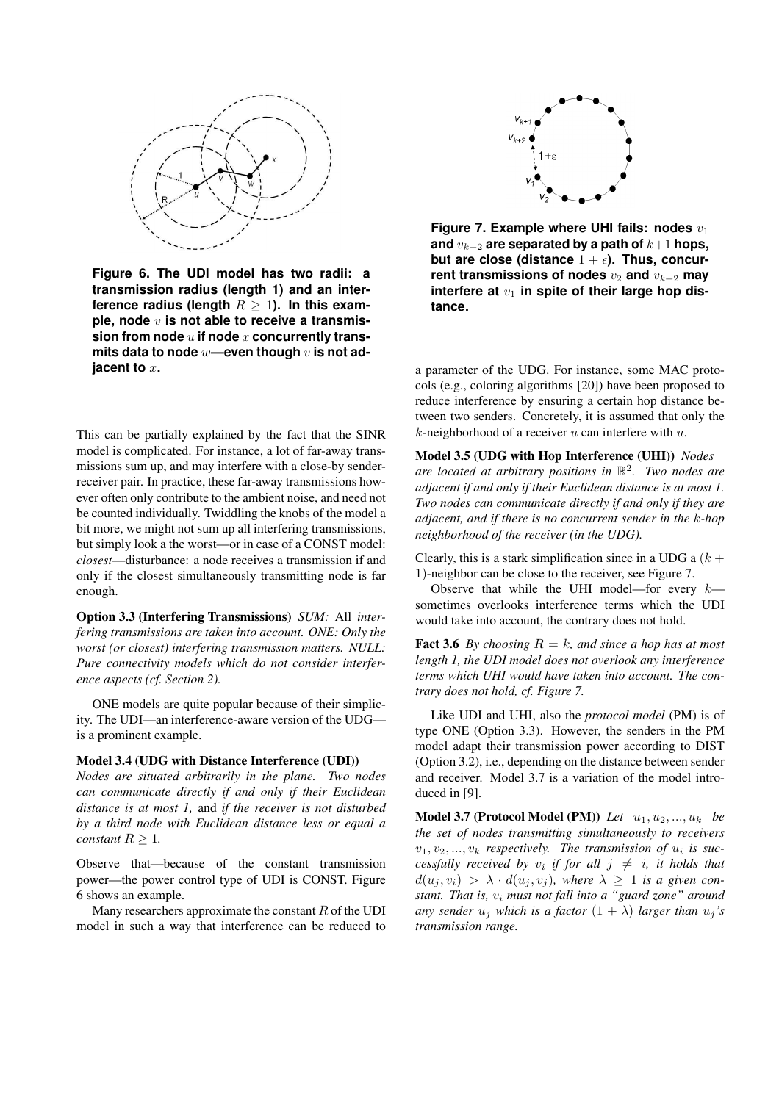

**Figure 6. The UDI model has two radii: a transmission radius (length 1) and an interference radius (length**  $R \geq 1$ ). In this exam**ple, node** v **is not able to receive a transmis**sion from node u if node x concurrently trans**mits data to node** w**—even though** v **is not adjacent to** x**.**

This can be partially explained by the fact that the SINR model is complicated. For instance, a lot of far-away transmissions sum up, and may interfere with a close-by senderreceiver pair. In practice, these far-away transmissions however often only contribute to the ambient noise, and need not be counted individually. Twiddling the knobs of the model a bit more, we might not sum up all interfering transmissions, but simply look a the worst—or in case of a CONST model: *closest*—disturbance: a node receives a transmission if and only if the closest simultaneously transmitting node is far enough.

Option 3.3 (Interfering Transmissions) *SUM:* All *interfering transmissions are taken into account. ONE: Only the worst (or closest) interfering transmission matters. NULL: Pure connectivity models which do not consider interference aspects (cf. Section 2).*

ONE models are quite popular because of their simplicity. The UDI—an interference-aware version of the UDG is a prominent example.

#### Model 3.4 (UDG with Distance Interference (UDI))

*Nodes are situated arbitrarily in the plane. Two nodes can communicate directly if and only if their Euclidean distance is at most 1,* and *if the receiver is not disturbed by a third node with Euclidean distance less or equal a constant*  $R > 1$ *.* 

Observe that—because of the constant transmission power—the power control type of UDI is CONST. Figure 6 shows an example.

Many researchers approximate the constant  $R$  of the UDI model in such a way that interference can be reduced to



**Figure 7. Example where UHI fails: nodes**  $v_1$ and  $v_{k+2}$  are separated by a path of  $k+1$  hops, but are close (distance  $1 + \epsilon$ ). Thus, concur**rent transmissions of nodes**  $v_2$  **and**  $v_{k+2}$  **may** interfere at  $v_1$  in spite of their large hop dis**tance.**

a parameter of the UDG. For instance, some MAC protocols (e.g., coloring algorithms [20]) have been proposed to reduce interference by ensuring a certain hop distance between two senders. Concretely, it is assumed that only the  $k$ -neighborhood of a receiver  $u$  can interfere with  $u$ .

Model 3.5 (UDG with Hop Interference (UHI)) *Nodes are located at arbitrary positions in* R 2 *. Two nodes are adjacent if and only if their Euclidean distance is at most 1. Two nodes can communicate directly if and only if they are adjacent, and if there is no concurrent sender in the* k*-hop neighborhood of the receiver (in the UDG).*

Clearly, this is a stark simplification since in a UDG a  $(k +$ 1)-neighbor can be close to the receiver, see Figure 7.

Observe that while the UHI model—for every  $k$  sometimes overlooks interference terms which the UDI would take into account, the contrary does not hold.

**Fact 3.6** *By choosing*  $R = k$ *, and since a hop has at most length 1, the UDI model does not overlook any interference terms which UHI would have taken into account. The contrary does not hold, cf. Figure 7.*

Like UDI and UHI, also the *protocol model* (PM) is of type ONE (Option 3.3). However, the senders in the PM model adapt their transmission power according to DIST (Option 3.2), i.e., depending on the distance between sender and receiver. Model 3.7 is a variation of the model introduced in [9].

Model 3.7 (Protocol Model (PM)) *Let* u1, u2, ..., u<sup>k</sup> *be the set of nodes transmitting simultaneously to receivers*  $v_1, v_2, ..., v_k$  respectively. The transmission of  $u_i$  is suc*cessfully received by*  $v_i$  *if for all*  $j \neq i$ *, it holds that*  $d(u_j, v_i) > \lambda \cdot d(u_j, v_j)$ , where  $\lambda \geq 1$  is a given con*stant. That is,*  $v_i$  *must not fall into a "guard zone" around any sender*  $u_j$  *which is a factor*  $(1 + \lambda)$  *larger than*  $u_j$ '*s transmission range.*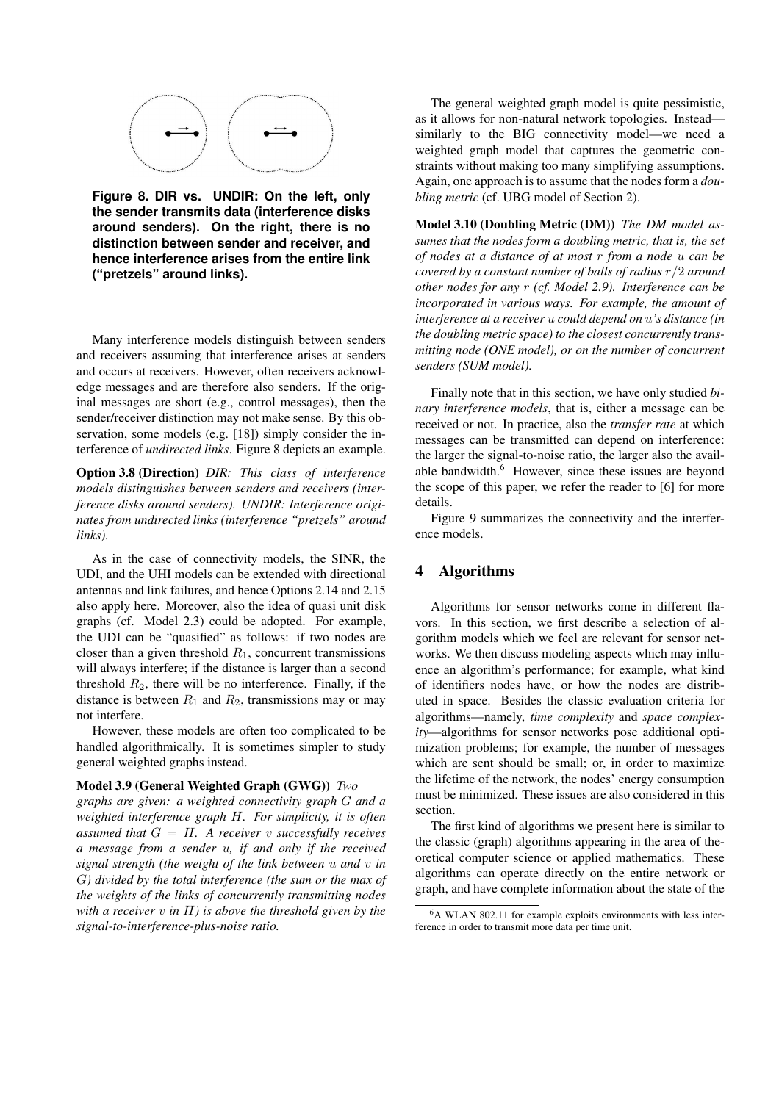

**Figure 8. DIR vs. UNDIR: On the left, only the sender transmits data (interference disks around senders). On the right, there is no distinction between sender and receiver, and hence interference arises from the entire link ("pretzels" around links).**

Many interference models distinguish between senders and receivers assuming that interference arises at senders and occurs at receivers. However, often receivers acknowledge messages and are therefore also senders. If the original messages are short (e.g., control messages), then the sender/receiver distinction may not make sense. By this observation, some models (e.g. [18]) simply consider the interference of *undirected links*. Figure 8 depicts an example.

Option 3.8 (Direction) *DIR: This class of interference models distinguishes between senders and receivers (interference disks around senders). UNDIR: Interference originates from undirected links (interference "pretzels" around links).*

As in the case of connectivity models, the SINR, the UDI, and the UHI models can be extended with directional antennas and link failures, and hence Options 2.14 and 2.15 also apply here. Moreover, also the idea of quasi unit disk graphs (cf. Model 2.3) could be adopted. For example, the UDI can be "quasified" as follows: if two nodes are closer than a given threshold  $R_1$ , concurrent transmissions will always interfere; if the distance is larger than a second threshold  $R_2$ , there will be no interference. Finally, if the distance is between  $R_1$  and  $R_2$ , transmissions may or may not interfere.

However, these models are often too complicated to be handled algorithmically. It is sometimes simpler to study general weighted graphs instead.

### Model 3.9 (General Weighted Graph (GWG)) *Two*

*graphs are given: a weighted connectivity graph* G *and a weighted interference graph* H*. For simplicity, it is often assumed that*  $G = H$ . A *receiver* v *successfully receives a message from a sender* u*, if and only if the received signal strength (the weight of the link between* u *and* v *in* G*) divided by the total interference (the sum or the max of the weights of the links of concurrently transmitting nodes with a receiver* v *in* H*) is above the threshold given by the signal-to-interference-plus-noise ratio.*

The general weighted graph model is quite pessimistic, as it allows for non-natural network topologies. Instead similarly to the BIG connectivity model—we need a weighted graph model that captures the geometric constraints without making too many simplifying assumptions. Again, one approach is to assume that the nodes form a *doubling metric* (cf. UBG model of Section 2).

Model 3.10 (Doubling Metric (DM)) *The DM model assumes that the nodes form a doubling metric, that is, the set of nodes at a distance of at most* r *from a node* u *can be covered by a constant number of balls of radius* r/2 *around other nodes for any* r *(cf. Model 2.9). Interference can be incorporated in various ways. For example, the amount of interference at a receiver* u *could depend on* u*'s distance (in the doubling metric space) to the closest concurrently transmitting node (ONE model), or on the number of concurrent senders (SUM model).*

Finally note that in this section, we have only studied *binary interference models*, that is, either a message can be received or not. In practice, also the *transfer rate* at which messages can be transmitted can depend on interference: the larger the signal-to-noise ratio, the larger also the available bandwidth.<sup>6</sup> However, since these issues are beyond the scope of this paper, we refer the reader to [6] for more details.

Figure 9 summarizes the connectivity and the interference models.

# 4 Algorithms

Algorithms for sensor networks come in different flavors. In this section, we first describe a selection of algorithm models which we feel are relevant for sensor networks. We then discuss modeling aspects which may influence an algorithm's performance; for example, what kind of identifiers nodes have, or how the nodes are distributed in space. Besides the classic evaluation criteria for algorithms—namely, *time complexity* and *space complexity*—algorithms for sensor networks pose additional optimization problems; for example, the number of messages which are sent should be small; or, in order to maximize the lifetime of the network, the nodes' energy consumption must be minimized. These issues are also considered in this section.

The first kind of algorithms we present here is similar to the classic (graph) algorithms appearing in the area of theoretical computer science or applied mathematics. These algorithms can operate directly on the entire network or graph, and have complete information about the state of the

<sup>&</sup>lt;sup>6</sup>A WLAN 802.11 for example exploits environments with less interference in order to transmit more data per time unit.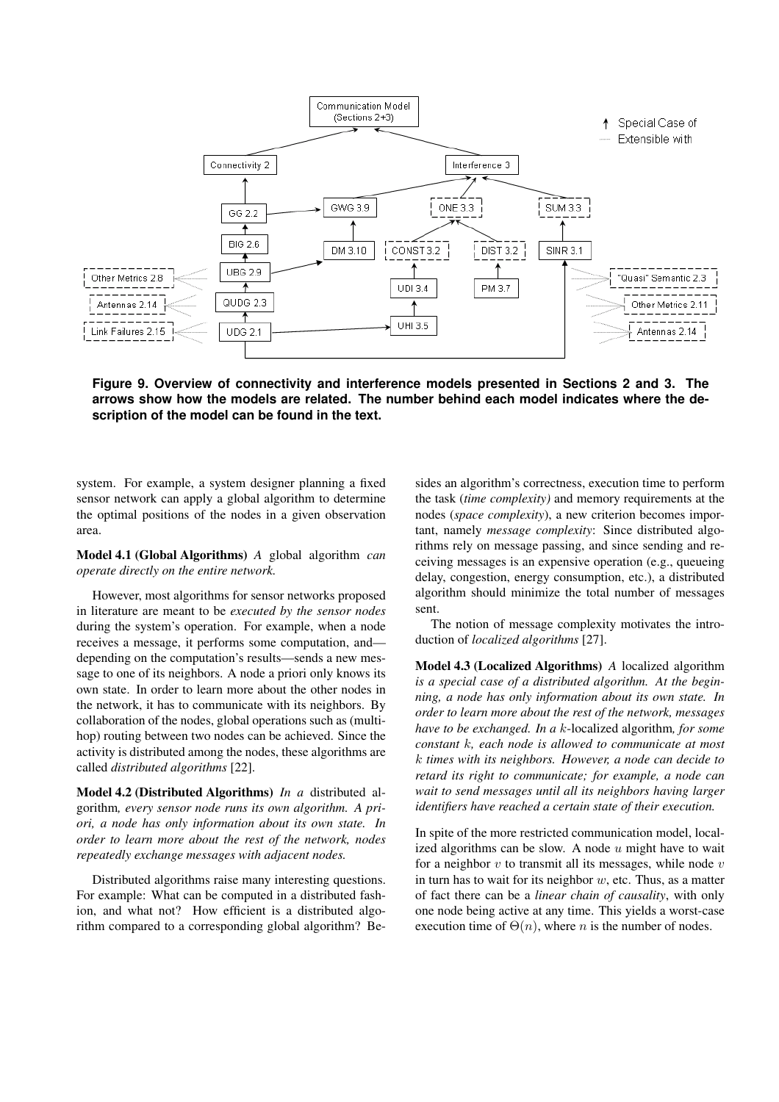

**Figure 9. Overview of connectivity and interference models presented in Sections 2 and 3. The arrows show how the models are related. The number behind each model indicates where the description of the model can be found in the text.**

system. For example, a system designer planning a fixed sensor network can apply a global algorithm to determine the optimal positions of the nodes in a given observation area.

Model 4.1 (Global Algorithms) *A* global algorithm *can operate directly on the entire network.*

However, most algorithms for sensor networks proposed in literature are meant to be *executed by the sensor nodes* during the system's operation. For example, when a node receives a message, it performs some computation, and depending on the computation's results—sends a new message to one of its neighbors. A node a priori only knows its own state. In order to learn more about the other nodes in the network, it has to communicate with its neighbors. By collaboration of the nodes, global operations such as (multihop) routing between two nodes can be achieved. Since the activity is distributed among the nodes, these algorithms are called *distributed algorithms* [22].

Model 4.2 (Distributed Algorithms) *In a* distributed algorithm*, every sensor node runs its own algorithm. A priori, a node has only information about its own state. In order to learn more about the rest of the network, nodes repeatedly exchange messages with adjacent nodes.*

Distributed algorithms raise many interesting questions. For example: What can be computed in a distributed fashion, and what not? How efficient is a distributed algorithm compared to a corresponding global algorithm? Besides an algorithm's correctness, execution time to perform the task (*time complexity)* and memory requirements at the nodes (*space complexity*), a new criterion becomes important, namely *message complexity*: Since distributed algorithms rely on message passing, and since sending and receiving messages is an expensive operation (e.g., queueing delay, congestion, energy consumption, etc.), a distributed algorithm should minimize the total number of messages sent.

The notion of message complexity motivates the introduction of *localized algorithms* [27].

Model 4.3 (Localized Algorithms) *A* localized algorithm *is a special case of a distributed algorithm. At the beginning, a node has only information about its own state. In order to learn more about the rest of the network, messages have to be exchanged. In a* k-localized algorithm*, for some constant* k*, each node is allowed to communicate at most* k *times with its neighbors. However, a node can decide to retard its right to communicate; for example, a node can wait to send messages until all its neighbors having larger identifiers have reached a certain state of their execution.*

In spite of the more restricted communication model, localized algorithms can be slow. A node  $u$  might have to wait for a neighbor  $v$  to transmit all its messages, while node  $v$ in turn has to wait for its neighbor  $w$ , etc. Thus, as a matter of fact there can be a *linear chain of causality*, with only one node being active at any time. This yields a worst-case execution time of  $\Theta(n)$ , where *n* is the number of nodes.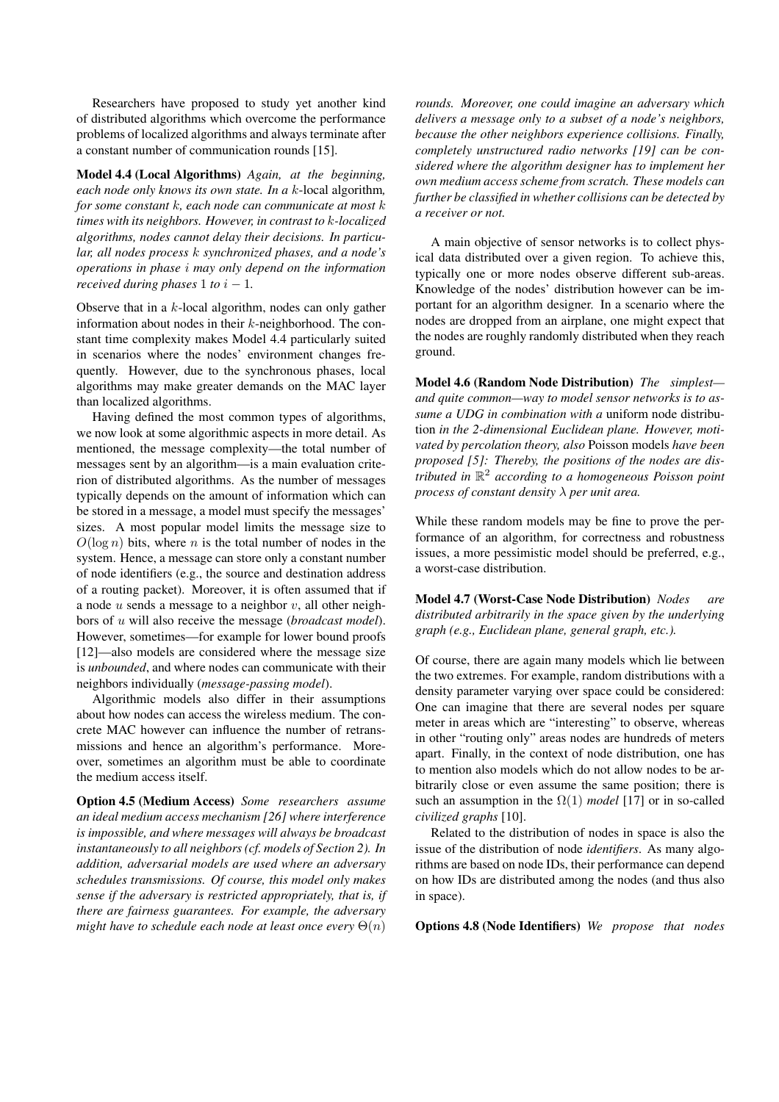Researchers have proposed to study yet another kind of distributed algorithms which overcome the performance problems of localized algorithms and always terminate after a constant number of communication rounds [15].

Model 4.4 (Local Algorithms) *Again, at the beginning, each node only knows its own state. In a* k-local algorithm*, for some constant* k*, each node can communicate at most* k *times with its neighbors. However, in contrast to* k*-localized algorithms, nodes cannot delay their decisions. In particular, all nodes process* k *synchronized phases, and a node's operations in phase* i *may only depend on the information received during phases* 1 *to*  $i - 1$ *.* 

Observe that in a  $k$ -local algorithm, nodes can only gather information about nodes in their  $k$ -neighborhood. The constant time complexity makes Model 4.4 particularly suited in scenarios where the nodes' environment changes frequently. However, due to the synchronous phases, local algorithms may make greater demands on the MAC layer than localized algorithms.

Having defined the most common types of algorithms, we now look at some algorithmic aspects in more detail. As mentioned, the message complexity—the total number of messages sent by an algorithm—is a main evaluation criterion of distributed algorithms. As the number of messages typically depends on the amount of information which can be stored in a message, a model must specify the messages' sizes. A most popular model limits the message size to  $O(\log n)$  bits, where *n* is the total number of nodes in the system. Hence, a message can store only a constant number of node identifiers (e.g., the source and destination address of a routing packet). Moreover, it is often assumed that if a node  $u$  sends a message to a neighbor  $v$ , all other neighbors of u will also receive the message (*broadcast model*). However, sometimes—for example for lower bound proofs [12]—also models are considered where the message size is *unbounded*, and where nodes can communicate with their neighbors individually (*message-passing model*).

Algorithmic models also differ in their assumptions about how nodes can access the wireless medium. The concrete MAC however can influence the number of retransmissions and hence an algorithm's performance. Moreover, sometimes an algorithm must be able to coordinate the medium access itself.

Option 4.5 (Medium Access) *Some researchers assume an ideal medium access mechanism [26] where interference is impossible, and where messages will always be broadcast instantaneously to all neighbors (cf. models of Section 2). In addition, adversarial models are used where an adversary schedules transmissions. Of course, this model only makes sense if the adversary is restricted appropriately, that is, if there are fairness guarantees. For example, the adversary might have to schedule each node at least once every*  $\Theta(n)$ 

*rounds. Moreover, one could imagine an adversary which delivers a message only to a subset of a node's neighbors, because the other neighbors experience collisions. Finally, completely unstructured radio networks [19] can be considered where the algorithm designer has to implement her own medium access scheme from scratch. These models can further be classified in whether collisions can be detected by a receiver or not.*

A main objective of sensor networks is to collect physical data distributed over a given region. To achieve this, typically one or more nodes observe different sub-areas. Knowledge of the nodes' distribution however can be important for an algorithm designer. In a scenario where the nodes are dropped from an airplane, one might expect that the nodes are roughly randomly distributed when they reach ground.

Model 4.6 (Random Node Distribution) *The simplest and quite common—way to model sensor networks is to assume a UDG in combination with a* uniform node distribution *in the 2-dimensional Euclidean plane. However, motivated by percolation theory, also* Poisson models *have been proposed [5]: Thereby, the positions of the nodes are distributed in* R <sup>2</sup> *according to a homogeneous Poisson point process of constant density* λ *per unit area.*

While these random models may be fine to prove the performance of an algorithm, for correctness and robustness issues, a more pessimistic model should be preferred, e.g., a worst-case distribution.

Model 4.7 (Worst-Case Node Distribution) *Nodes are distributed arbitrarily in the space given by the underlying graph (e.g., Euclidean plane, general graph, etc.).*

Of course, there are again many models which lie between the two extremes. For example, random distributions with a density parameter varying over space could be considered: One can imagine that there are several nodes per square meter in areas which are "interesting" to observe, whereas in other "routing only" areas nodes are hundreds of meters apart. Finally, in the context of node distribution, one has to mention also models which do not allow nodes to be arbitrarily close or even assume the same position; there is such an assumption in the  $\Omega(1)$  *model* [17] or in so-called *civilized graphs* [10].

Related to the distribution of nodes in space is also the issue of the distribution of node *identifiers*. As many algorithms are based on node IDs, their performance can depend on how IDs are distributed among the nodes (and thus also in space).

Options 4.8 (Node Identifiers) *We propose that nodes*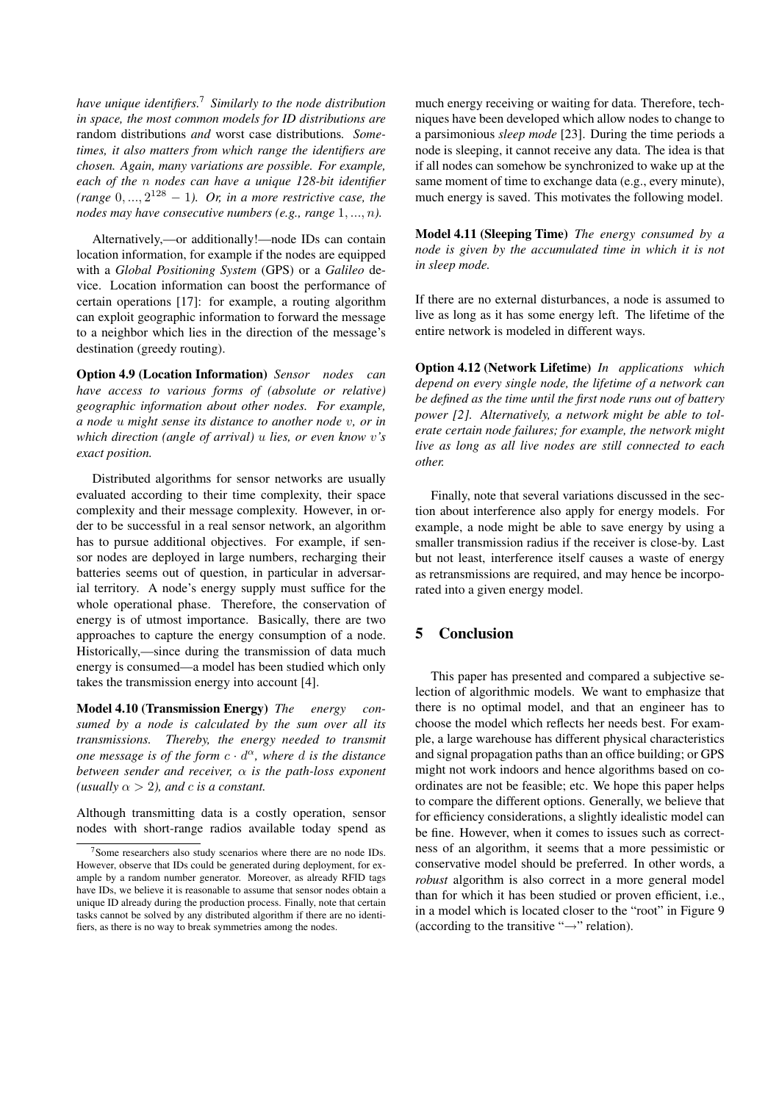*have unique identifiers.*<sup>7</sup> *Similarly to the node distribution in space, the most common models for ID distributions are* random distributions *and* worst case distributions*. Sometimes, it also matters from which range the identifiers are chosen. Again, many variations are possible. For example, each of the* n *nodes can have a unique 128-bit identifier*  $(range\ 0, ..., 2^{128} - 1)$ . Or, in a more restrictive case, the *nodes may have consecutive numbers (e.g., range* 1, ..., n*).*

Alternatively,—or additionally!—node IDs can contain location information, for example if the nodes are equipped with a *Global Positioning System* (GPS) or a *Galileo* device. Location information can boost the performance of certain operations [17]: for example, a routing algorithm can exploit geographic information to forward the message to a neighbor which lies in the direction of the message's destination (greedy routing).

Option 4.9 (Location Information) *Sensor nodes can have access to various forms of (absolute or relative) geographic information about other nodes. For example, a node* u *might sense its distance to another node* v*, or in which direction (angle of arrival)* u *lies, or even know* v*'s exact position.*

Distributed algorithms for sensor networks are usually evaluated according to their time complexity, their space complexity and their message complexity. However, in order to be successful in a real sensor network, an algorithm has to pursue additional objectives. For example, if sensor nodes are deployed in large numbers, recharging their batteries seems out of question, in particular in adversarial territory. A node's energy supply must suffice for the whole operational phase. Therefore, the conservation of energy is of utmost importance. Basically, there are two approaches to capture the energy consumption of a node. Historically,—since during the transmission of data much energy is consumed—a model has been studied which only takes the transmission energy into account [4].

Model 4.10 (Transmission Energy) *The energy consumed by a node is calculated by the sum over all its transmissions. Thereby, the energy needed to transmit one message is of the form* c · d <sup>α</sup>*, where* d *is the distance between sender and receiver,* α *is the path-loss exponent (usually*  $\alpha > 2$ *), and c is a constant.* 

Although transmitting data is a costly operation, sensor nodes with short-range radios available today spend as much energy receiving or waiting for data. Therefore, techniques have been developed which allow nodes to change to a parsimonious *sleep mode* [23]. During the time periods a node is sleeping, it cannot receive any data. The idea is that if all nodes can somehow be synchronized to wake up at the same moment of time to exchange data (e.g., every minute), much energy is saved. This motivates the following model.

Model 4.11 (Sleeping Time) *The energy consumed by a node is given by the accumulated time in which it is not in sleep mode.*

If there are no external disturbances, a node is assumed to live as long as it has some energy left. The lifetime of the entire network is modeled in different ways.

Option 4.12 (Network Lifetime) *In applications which depend on every single node, the lifetime of a network can be defined as the time until the first node runs out of battery power [2]. Alternatively, a network might be able to tolerate certain node failures; for example, the network might live as long as all live nodes are still connected to each other.*

Finally, note that several variations discussed in the section about interference also apply for energy models. For example, a node might be able to save energy by using a smaller transmission radius if the receiver is close-by. Last but not least, interference itself causes a waste of energy as retransmissions are required, and may hence be incorporated into a given energy model.

# 5 Conclusion

This paper has presented and compared a subjective selection of algorithmic models. We want to emphasize that there is no optimal model, and that an engineer has to choose the model which reflects her needs best. For example, a large warehouse has different physical characteristics and signal propagation paths than an office building; or GPS might not work indoors and hence algorithms based on coordinates are not be feasible; etc. We hope this paper helps to compare the different options. Generally, we believe that for efficiency considerations, a slightly idealistic model can be fine. However, when it comes to issues such as correctness of an algorithm, it seems that a more pessimistic or conservative model should be preferred. In other words, a *robust* algorithm is also correct in a more general model than for which it has been studied or proven efficient, i.e., in a model which is located closer to the "root" in Figure 9 (according to the transitive "→" relation).

<sup>7</sup>Some researchers also study scenarios where there are no node IDs. However, observe that IDs could be generated during deployment, for example by a random number generator. Moreover, as already RFID tags have IDs, we believe it is reasonable to assume that sensor nodes obtain a unique ID already during the production process. Finally, note that certain tasks cannot be solved by any distributed algorithm if there are no identifiers, as there is no way to break symmetries among the nodes.